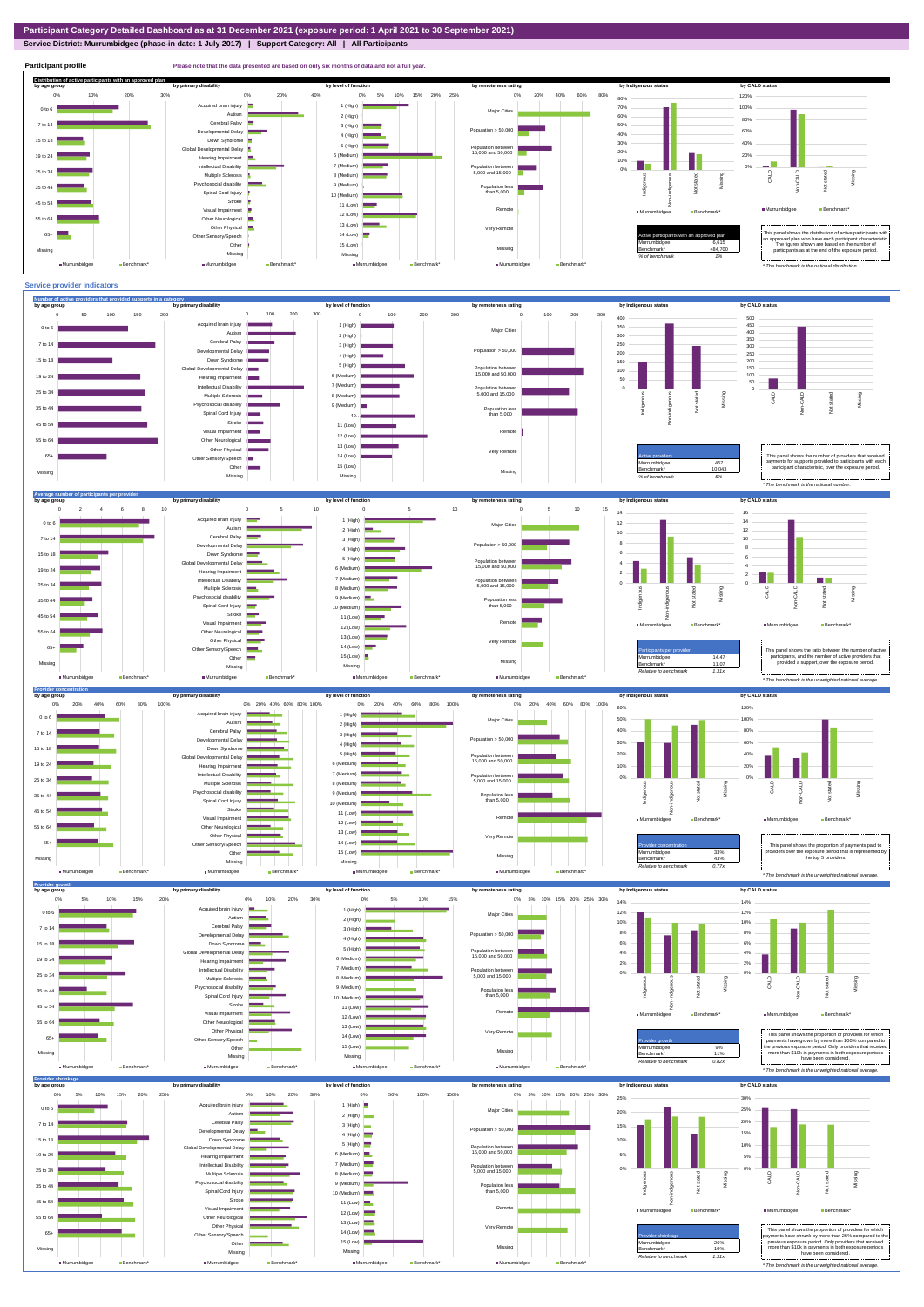**Service District: Murrumbidgee (phase-in date: 1 July 2017) | Support Category: All | All Participants**



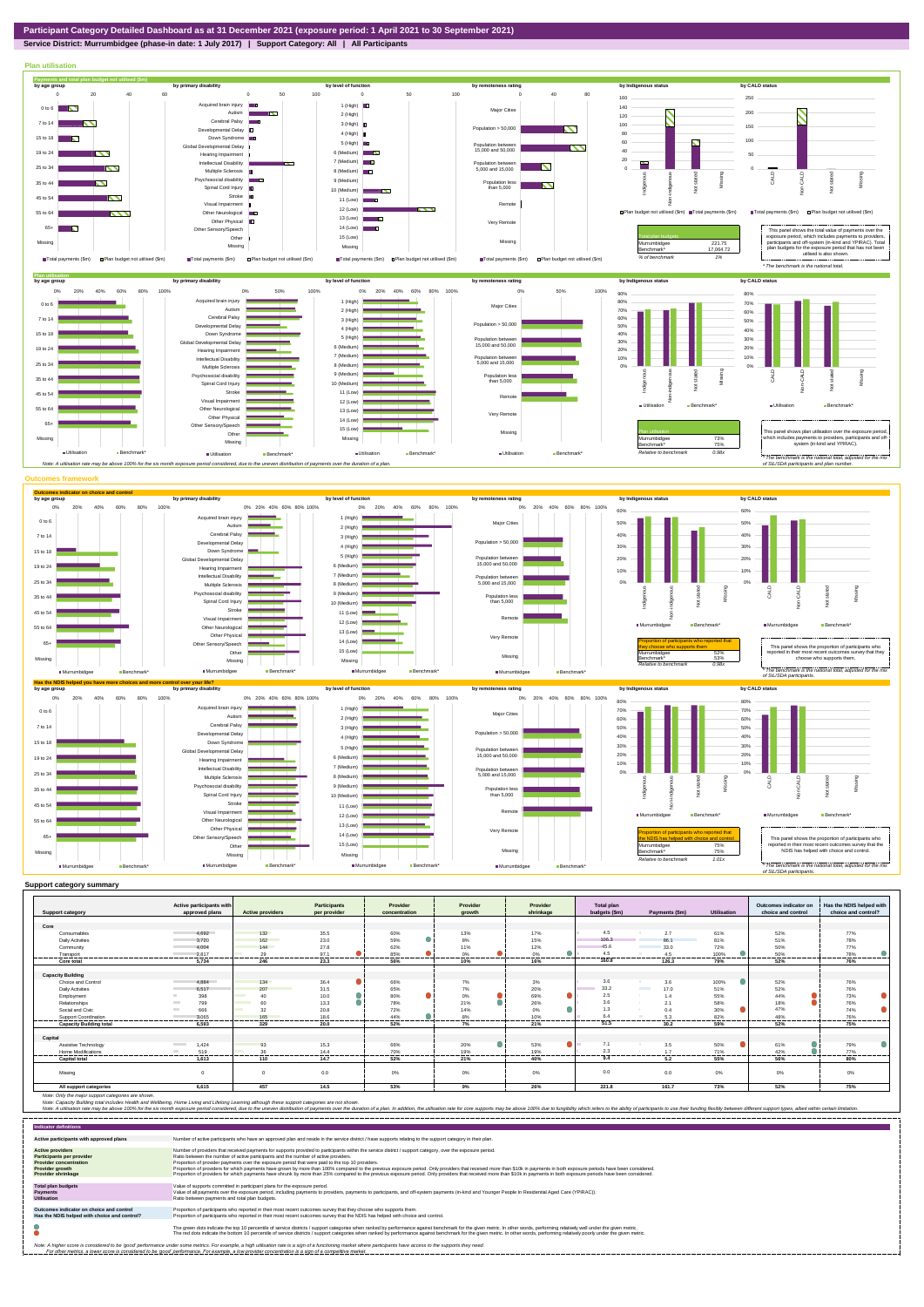## **Service District: Murrumbidgee (phase-in date: 1 July 2017) | Support Category: All | All Participants**



|                                | Active participants with<br>approved plans | <b>Active providers</b>        | <b>Participants</b><br>per provider | Provider        | Provider       | Provider  | Total plan    | Payments (\$m)                   | Utilisation | Outcomes indicator on<br>choice and control | Has the NDIS helped with |
|--------------------------------|--------------------------------------------|--------------------------------|-------------------------------------|-----------------|----------------|-----------|---------------|----------------------------------|-------------|---------------------------------------------|--------------------------|
| <b>Support category</b>        |                                            |                                |                                     | concentration   | growth         | shrinkage | budgets (\$m) |                                  |             |                                             | choice and control?      |
| Core                           |                                            |                                |                                     |                 |                |           |               |                                  |             |                                             |                          |
|                                | 4.692                                      | 132                            |                                     |                 |                | 17%       | 4.5           | 2.7                              | 61%         |                                             | 77%                      |
| Consumables                    |                                            |                                | 35.5                                | 60%             | 13%            |           | 106.3         |                                  |             | 52%                                         |                          |
| <b>Daily Activities</b>        | 3.720                                      | 162                            | 23.0                                | 59%             | 8%             | 15%       |               | 86.1                             | 81%         | 51%                                         | 78%                      |
| Community                      | 4.004                                      | 144                            | 27.8                                | 62%             | 11%            | 12%       | 45.6          | 33.0                             | 72%         | 50%                                         | 77%                      |
| Transport                      | 2.817                                      | 29<br>                         | 97.1<br>.                           | 85%<br>-------- | 0%<br>-------- | 0%<br>    | 4.5<br>.      | 4.5<br>-------                   | 100%<br>    | 50%<br>                                     | 78%<br>--------          |
| Core total                     | 5.734                                      | 246                            | 23.3                                | 56%             | 10%            | 16%       | 160.8         | 126.3                            | 79%         | 52%                                         | 76%                      |
|                                |                                            |                                |                                     |                 |                |           |               |                                  |             |                                             |                          |
| <b>Capacity Building</b>       |                                            |                                |                                     |                 |                |           |               |                                  |             |                                             |                          |
| Choice and Control             | 4.884                                      | 134                            | 36.4                                | 66%             | 7%             | 3%        | 3.6           | 3.6                              | 100%        | 52%                                         | 76%                      |
| Daily Activities               | 6,517                                      | 207                            | 31.5                                | 65%             | 7%             | 20%       | 33.2          | <b>Contract Contract</b><br>17.0 | 51%         | 52%                                         | 76%                      |
| Employment                     | 398                                        | 40                             | 10.0                                | 80%             | $0\%$          | ●<br>69%  | 2.5           | 1.4                              | 55%         | 44%                                         | 73%                      |
| Relationships                  | 799<br><b>Contract</b>                     | 60                             | 13.3                                | 78%             | 21%            | 26%       | 3.6           | 2.1                              | 58%         | 18%                                         | 76%                      |
| Social and Civic               | 666<br><b>COLLEGE</b>                      | 32<br><b>Contract Contract</b> | 20.8                                | 72%             | 14%            | 0%        | 1.3           | 0.4                              | 30%         | 47%                                         | 74%                      |
| Support Coordination           | 3.065                                      | 165                            | 18.6                                | 44%             | 8%             | 10%       | 6.4           | 5.3                              | 82%         | 48%                                         | 76%                      |
| <b>Capacity Building total</b> | 6.593                                      | 329                            | 20.0                                | 52%             | 7%             | 21%       | 51.5          | 30.2                             | 59%         | 52%                                         | 75%                      |
|                                |                                            |                                |                                     |                 |                |           |               |                                  |             |                                             |                          |
| Capital                        |                                            |                                |                                     |                 |                |           |               |                                  |             |                                             |                          |
| Assistive Technology           | 1.424<br><b>Contract Contract</b>          | 93                             | 15.3                                | 66%             | 20%            | 53%       | 7.1           | 3.5                              | 50%         | 61%                                         | 79%                      |
| <b>Home Modifications</b>      | 519<br><b>COLLEGE</b>                      | 36                             | 14.4                                | 70%             | 19%            | 19%       | 2.3           | 1.7                              | 71%         | 42%                                         | 77%                      |
| <b>Capital total</b>           | 1.613                                      | 110                            | 14.7                                | 52%             | 21%            | 40%       | 9.4           | -------<br>5.2                   | 55%         | 56%                                         | 80%                      |
|                                |                                            |                                |                                     |                 |                |           |               |                                  |             |                                             |                          |
| Missina                        |                                            | $\Omega$                       | 0.0                                 | 0%              | 0%             | 0%        | 0.0           | 0.0                              | $0\%$       | 0%                                          | 0%                       |
|                                |                                            |                                |                                     |                 |                |           |               |                                  |             |                                             |                          |
| All support categories         | 6,615                                      | 457                            | 14.5                                | 53%             | 9%             | 26%       | 221.8         | 161.7                            | 73%         | 52%                                         | 75%                      |

Note: Only the major support categories are shown.<br>Note: Capacity Building total individual Wellbeing, Home Living and Lifelong Learning although these support categories are not shown.<br>Note: A utilisation rate may be abov

| <b>Indicator definitions</b>                                                                                                                        |                                                                                                                                                                                                                                                                                                                                                                                                                                                                                                                                                                                                                                                                                                                                                                                                                 |
|-----------------------------------------------------------------------------------------------------------------------------------------------------|-----------------------------------------------------------------------------------------------------------------------------------------------------------------------------------------------------------------------------------------------------------------------------------------------------------------------------------------------------------------------------------------------------------------------------------------------------------------------------------------------------------------------------------------------------------------------------------------------------------------------------------------------------------------------------------------------------------------------------------------------------------------------------------------------------------------|
| Active participants with approved plans                                                                                                             | Number of active participants who have an approved plan and reside in the service district / have supports relating to the support category in their plan.                                                                                                                                                                                                                                                                                                                                                                                                                                                                                                                                                                                                                                                      |
| <b>Active providers</b><br><b>Participants per provider</b><br><b>Provider concentration</b><br><b>Provider growth</b><br><b>Provider shrinkage</b> | Number of providers that received payments for supports provided to participants within the service district / support category, over the exposure period.<br>Ratio between the number of active participants and the number of active providers.<br>Proportion of provider payments over the exposure period that were paid to the top 10 providers.<br>Proportion of providers for which payments have grown by more than 100% compared to the previous exposure period. Only providers that received more than \$10k in payments in both exposure periods have been considered.<br>Proportion of providers for which payments have shrunk by more than 25% compared to the previous exposure period. Only providers that received more than \$10k in payments in both exposure periods have been considered. |
| <b>Total plan budgets</b><br><b>Payments</b><br><b>Utilisation</b>                                                                                  | Value of supports committed in participant plans for the exposure period.<br>Value of all payments over the exposure period, including payments to providers, payments to participants, and off-system payments (in-kind and Younger People In Residential Aged Care (YPIRAC)).<br>Ratio between payments and total plan budgets.                                                                                                                                                                                                                                                                                                                                                                                                                                                                               |
| Outcomes indicator on choice and control<br>Has the NDIS helped with choice and control?                                                            | Proportion of participants who reported in their most recent outcomes survey that they choose who supports them.<br>Proportion of participants who reported in their most recent outcomes survey that the NDIS has helped with choice and control.                                                                                                                                                                                                                                                                                                                                                                                                                                                                                                                                                              |
|                                                                                                                                                     | The green dots indicate the top 10 percentile of service districts / support categories when ranked by performance against benchmark for the given metric. In other words, performing relatively well under the given metric.<br>The red dots indicate the bottom 10 percentile of service districts / support categories when ranked by performance against benchmark for the given metric. In other words, performing relatively poorly under the given metri                                                                                                                                                                                                                                                                                                                                                 |
|                                                                                                                                                     | Note: A higher score is considered to be 'good' performance under some metrics. For example, a high utilisation rate is a sign of a functioning market where participants have access to the supports they need.<br>For other metrics, a lower score is considered to be 'good' performance. For example, a low provider concentration is a sign of a competitive market.                                                                                                                                                                                                                                                                                                                                                                                                                                       |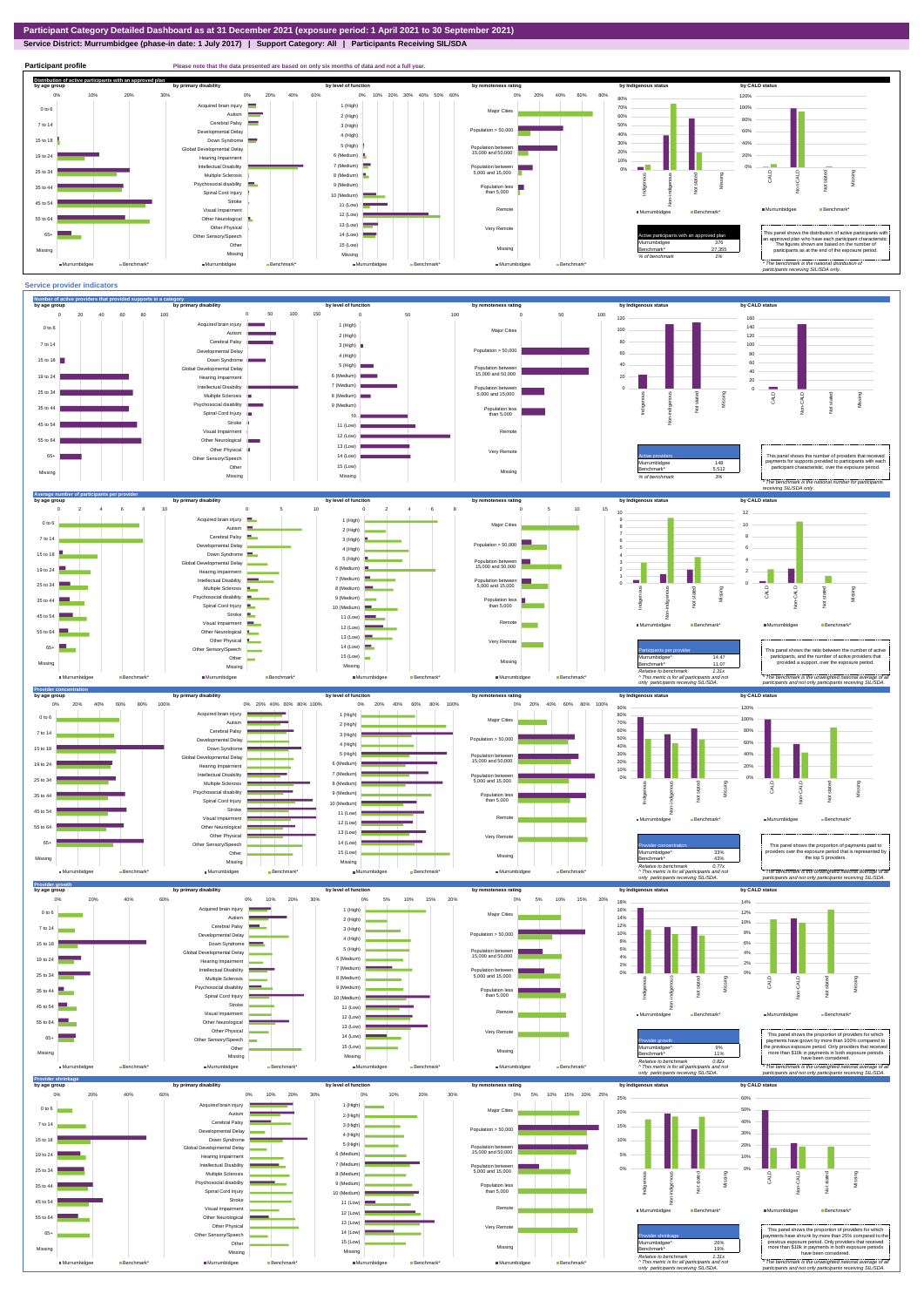**Service District: Murrumbidgee (phase-in date: 1 July 2017) | Support Category: All | Participants Receiving SIL/SDA**



**Participant profile Please note that the data presented are based on only six months of data and not a full yer. Distribution of active participants with an approved plan** by age group by primary disability by remoteness rating by hdigenous status by CALD status 0% 20% 40% 60% 80% 0% 10% 20% 30% 40% 50% 60% 120% 0% 10% 20% 30% 0% 20% 40% 60% 80% d brain injury 1 (High) 70% 100% 0 to 6 Major Cities Autism **Report** 2 (High) 60% 80% Cerebral Palsy 7 to 14 50% 3 (High) nental Delay  $p$ ulation > 50,000 60% 40% 4 (High) 15 to 18 Down Syndrome 30% 40% 5 (High) evelopmental Delay Population between 15,000 and 50,000 20% 6 (Medium) 20% 19 to 24 Hearing Impairment 10% 7 (Medium) Intellectual Disability 0% Population between 5,000 and 15,000 0% 25 to 34 Multiple Sclerosis 8 (Medium) CALD Non-CALD Missing ndiaenous Non-indigenous **Cial disability** Missing Indigeno 9 (Medium) 35 to 4 Population less than 5,000 nstated in 1916.<br>Note  $\ddot{2}$ Spinal Cord Injury 10 (Medium) Stroke  $45$  to  $54$ å 11 (Low) Remot Murrumbidgee Benchmark\* Visual Impairment ■Murrumbidgee Benchmark\* 12 (Low) 55 to 64 Other Neurological 13 (Low) Other Physical Very Remote 14 (Low) Active participants with an approved plan This panel shows the distribution of active participants with an approved plan who have each participant characteristic. 65+ Sensory/Speech Other 15 (Low) Murrumbidgee 376 The figures shown are based on the number of participants as at the end of the exposure period. Missing Benchmark\* 27,355 Missing Missing Missing *% of benchmark 1%* Murrumbidgee **Benchmark** Murrumbidgee Ben Murrumbidgee Benchmark ■Murrumbidgee Benchmark *\* The benchmark is the national distribution of participants receiving SIL/SDA only.*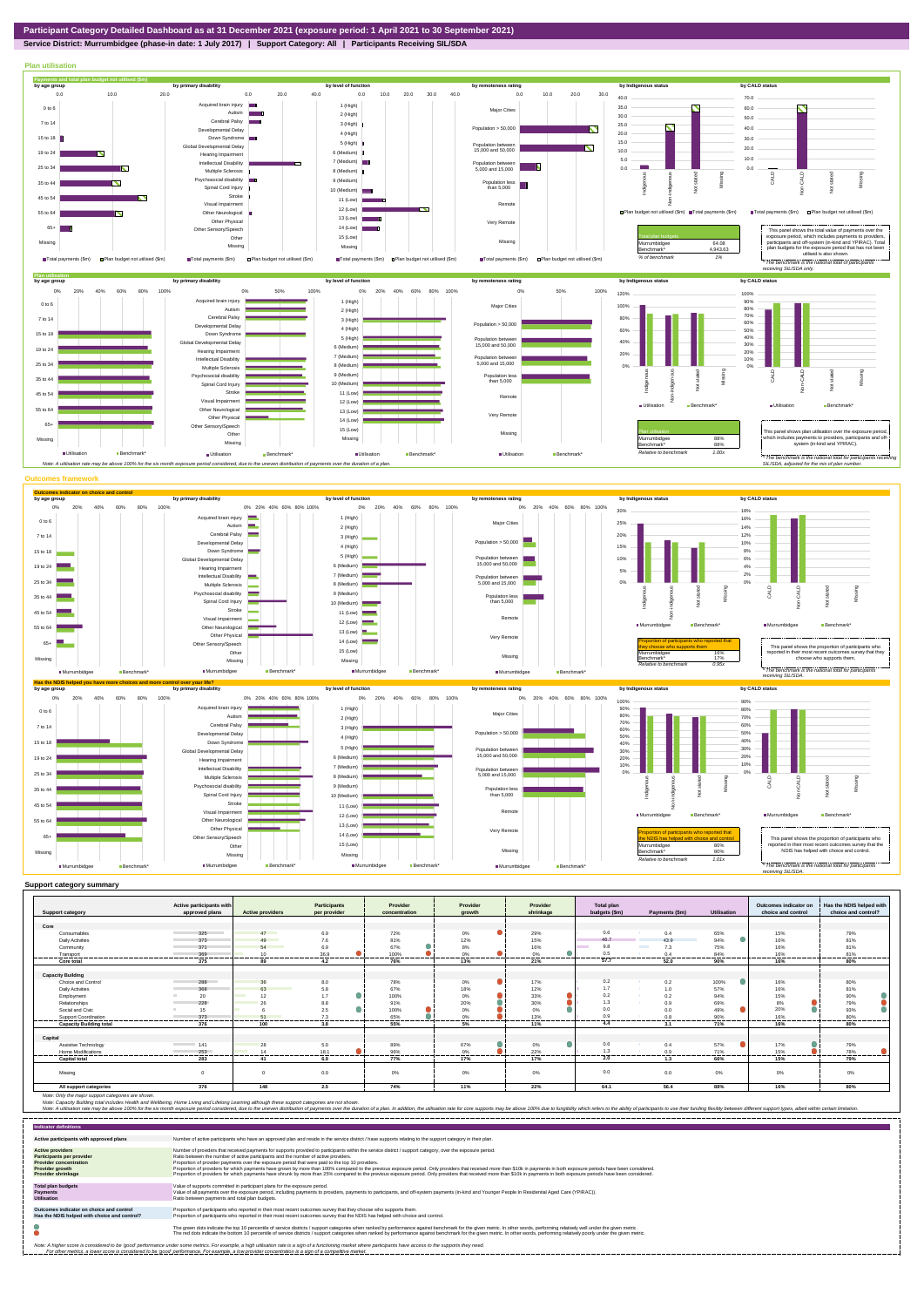

**Service District: Murrumbidgee (phase-in date: 1 July 2017) | Support Category: All | Participants Receiving SIL/SDA**



| <b>Support category</b>        | Active participants with<br>approved plans | <b>Active providers</b>        | <b>Participants</b><br>per provider | Provider<br>concentration | Provider<br>arowth | Provider<br>shrinkage | <b>Total plan</b><br>budgets (\$m) | Payments (\$m) | <b>Utilisation</b> | Outcomes indicator on<br>choice and control | Has the NDIS helped with<br>choice and control? |
|--------------------------------|--------------------------------------------|--------------------------------|-------------------------------------|---------------------------|--------------------|-----------------------|------------------------------------|----------------|--------------------|---------------------------------------------|-------------------------------------------------|
|                                |                                            |                                |                                     |                           |                    |                       |                                    |                |                    |                                             |                                                 |
| Core                           |                                            |                                |                                     |                           |                    |                       |                                    |                |                    |                                             |                                                 |
| Consumables                    | 325<br><b>Contract Contract</b>            | 47                             | 6.9                                 | 72%                       | 0%                 | 29%                   | 0.6                                | 0.4            | 65%                | 15%                                         | 79%                                             |
| <b>Daily Activities</b>        | 373                                        | 49<br><b>Contract Contract</b> | 7.6                                 | 81%                       | 12%                | 15%                   | 46.7                               | 43.9           | 94%                | 16%                                         | 81%                                             |
| Community                      | 371                                        | 54                             | 6.9                                 | 67%                       | 8%                 | 16%                   | 9.8                                | 7.3            | 75%                | 16%                                         | 81%                                             |
| Transport                      | 369                                        | 10 <sup>1</sup>                | 36.9                                | 100%                      | a<br>0%            | o<br>0%               | 0.5                                | 0.4            | 84%                | 16%                                         | 81%                                             |
| Core total                     | 375                                        | 89                             | 4.2                                 | 76%                       | 13%                | 21%                   | 57.7                               | 52.0           | 90%                | 16%                                         | 80%                                             |
|                                |                                            |                                |                                     |                           |                    |                       |                                    |                |                    |                                             |                                                 |
| <b>Capacity Building</b>       |                                            |                                |                                     |                           |                    |                       |                                    |                |                    |                                             |                                                 |
| Choice and Control             | 288                                        | 36                             | 8.0                                 | 78%                       | 0%                 | 17%                   | 0.2                                | 0.2            | 100%               | 16%                                         | 80%                                             |
| <b>Daily Activities</b>        | 368                                        | 63                             | 5.8                                 | 67%                       | 18%                | 12%                   | 1.7                                | 1.0            | 57%                | 16%                                         | 81%                                             |
| Employment                     | 20                                         | 12                             | 1.7                                 | 100%                      | 0%                 | 0<br>33%              | 0.2                                | 0.2            | 94%                | 15%                                         | 90%                                             |
| Relationships                  | 228                                        |                                | 8.8                                 | 91%                       | 20%                | 30%                   | 1.3                                | 0.9            | 69%                | 8%                                          | 79%                                             |
| Social and Civic               | 15                                         |                                | 2.5                                 | 100%                      | 0%                 | 0%                    | 0.0                                | 0.0            | 49%                | 20%                                         | 93%                                             |
| <b>Support Coordination</b>    | 373<br>---------                           | 51<br>.                        | 7.3                                 | 65%<br>                   | 0%<br>---------    | 13%<br>--------       | $^{\circ}$<br>                     | 0.8<br>        | 90%<br>            | 16%<br>                                     | 80%<br>-------                                  |
| <b>Capacity Building total</b> | 376                                        | 100                            | -------<br>3.8                      | 55%                       | 5%                 | 11%                   | 4.4                                | 3.1            | 71%                | 16%                                         | 80%                                             |
| Capital                        |                                            |                                |                                     |                           |                    |                       |                                    |                |                    |                                             |                                                 |
| Assistive Technology           | 141                                        | 28                             |                                     |                           | 67%                | $\bullet$             | 0.6                                | 0.4            | 57%                | 17%                                         | 79%                                             |
| <b>Home Modifications</b>      | 253                                        | 14                             | 5.0<br>18.1                         | 89%<br>96%                | 0%                 | 0%<br>22%             | 1.3                                | 0.9            | 71%                | 15%                                         | 78%                                             |
| <b>Capital total</b>           |                                            |                                | 6.9                                 | .<br>77%                  | 17%                | <br>17%               | 2.0                                | -------        | ------<br>66%      | -------<br>15%                              | <br>79%                                         |
|                                | 283                                        | 41                             |                                     |                           |                    |                       |                                    | 1.3            |                    |                                             |                                                 |
| Missing                        | $\mathbf 0$                                | $\Omega$                       | 0.0                                 | 0%                        | 0%                 | 0%                    | 0.0                                | 0.0            | 0%                 | 0%                                          | 0%                                              |
| All support categories         | 376                                        | 148                            | 2.5                                 | 74%                       | 11%                | 22%                   | 64.1                               | 56.4           | 88%                | 16%                                         | 80%                                             |

| <b>Indicator definitions</b>                                                                                                                 |                                                                                                                                                                                                                                                                                                                                                                                                                                                                                                                                                                                                                                                                                                                                                                                                                 |
|----------------------------------------------------------------------------------------------------------------------------------------------|-----------------------------------------------------------------------------------------------------------------------------------------------------------------------------------------------------------------------------------------------------------------------------------------------------------------------------------------------------------------------------------------------------------------------------------------------------------------------------------------------------------------------------------------------------------------------------------------------------------------------------------------------------------------------------------------------------------------------------------------------------------------------------------------------------------------|
| Active participants with approved plans                                                                                                      | Number of active participants who have an approved plan and reside in the service district / have supports relating to the support category in their plan.                                                                                                                                                                                                                                                                                                                                                                                                                                                                                                                                                                                                                                                      |
| <b>Active providers</b><br><b>Participants per provider</b><br><b>Provider concentration</b><br>Provider growth<br><b>Provider shrinkage</b> | Number of providers that received payments for supports provided to participants within the service district / support category, over the exposure period.<br>Ratio between the number of active participants and the number of active providers.<br>Proportion of provider payments over the exposure period that were paid to the top 10 providers.<br>Proportion of providers for which payments have grown by more than 100% compared to the previous exposure period. Only providers that received more than \$10k in payments in both exposure periods have been considered.<br>Proportion of providers for which payments have shrunk by more than 25% compared to the previous exposure period. Only providers that received more than \$10k in payments in both exposure periods have been considered. |
| <b>Total plan budgets</b><br>Payments<br><b>Utilisation</b>                                                                                  | Value of supports committed in participant plans for the exposure period.<br>Value of all payments over the exposure period, including payments to providers, payments to participants, and off-system payments (in-kind and Younger People In Residential Aged Care (YPIRAC)).<br>Ratio between payments and total plan budgets.                                                                                                                                                                                                                                                                                                                                                                                                                                                                               |
| Outcomes indicator on choice and control<br>Has the NDIS helped with choice and control?                                                     | Proportion of participants who reported in their most recent outcomes survey that they choose who supports them.<br>Proportion of participants who reported in their most recent outcomes survey that the NDIS has helped with choice and control.                                                                                                                                                                                                                                                                                                                                                                                                                                                                                                                                                              |
|                                                                                                                                              | The green dots indicate the top 10 percentile of service districts / support categories when ranked by performance against benchmark for the given metric. In other words, performing relatively well under the given metric.<br>The red dots indicate the bottom 10 percentile of service districts / support categories when ranked by performance against benchmark for the given metric. In other words, performing relatively poorly under the given metri                                                                                                                                                                                                                                                                                                                                                 |
|                                                                                                                                              | Note: A higher score is considered to be 'good' performance under some metrics. For example, a high utilisation rate is a sign of a functioning market where participants have access to the supports they need.<br>For other metrics, a lower score is considered to be 'good' performance. For example, a low provider concentration is a sign of a competitive market.                                                                                                                                                                                                                                                                                                                                                                                                                                       |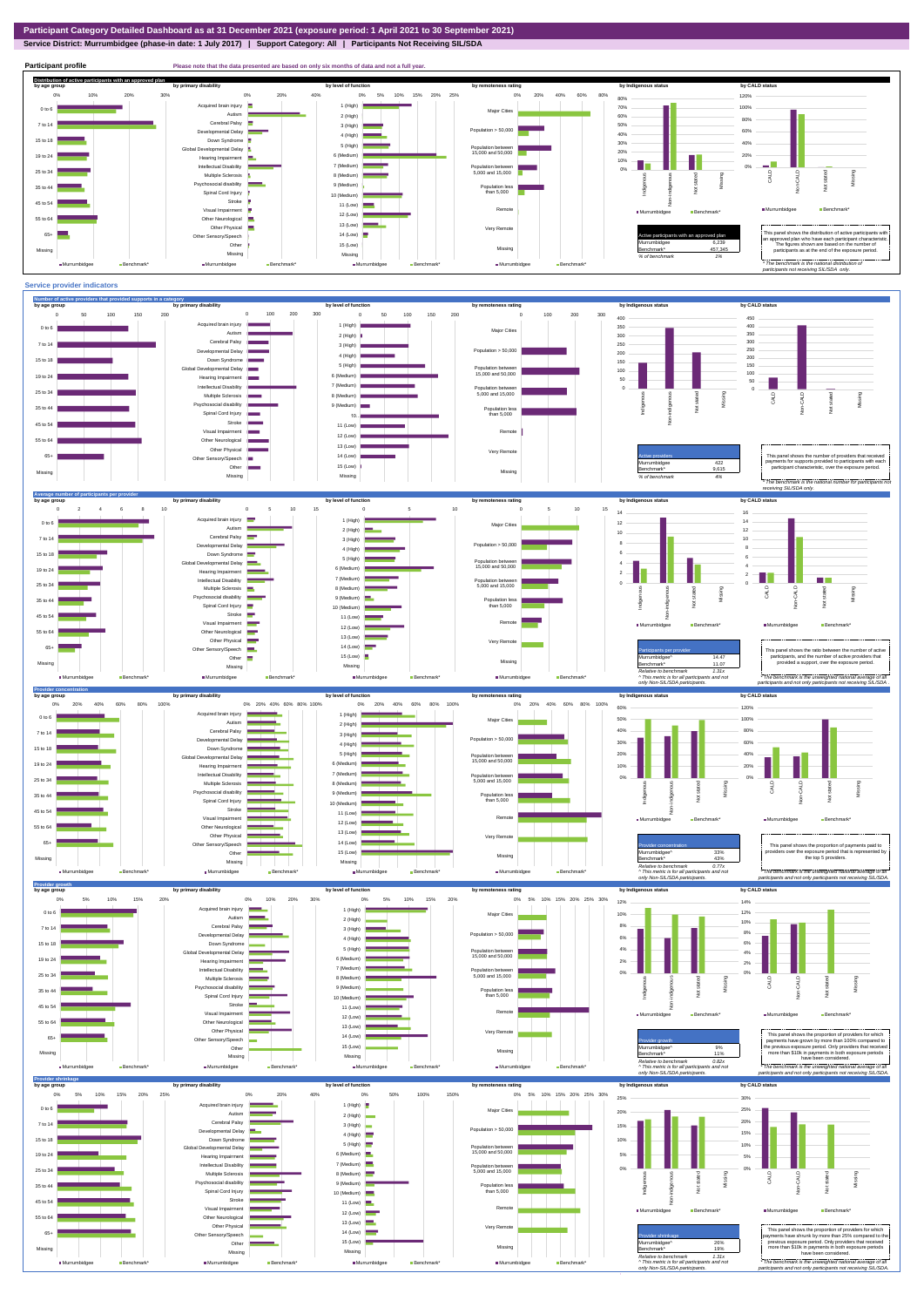## **Service District: Murrumbidgee (phase-in date: 1 July 2017) | Support Category: All | Participants Not Receiving SIL/SDA**

**Participant profile Please note that the data presented are based on only six months of data and not a full year. Distribution of active participants with an approved plan** by age group by primary disability by remoteness rating by hdigenous status by CALD status 0% 5% 10% 15% 20% 25% 0% 20% 40% 60% 80% 120% 0% 10% 20% 30% 0% 20% 40% 80% d brain injury 1 (High)  $\blacksquare$ 70% 100% 0 to 6 Major Cities Autism **P** 2 (High) 60% 80% Cerebral Palsy 7 to 14 50% 3 (High) nc....<br>ental Delay Population  $> 50,000$ 60% 40% 4 (High) Down Syndrome 15 to 18 30% 40% 5 (High) evelopmental Delay Population between 15,000 and 50,000 20% 6 (Medium) 20% 19 to 24 Hearing Impairment 10%  $\sim$   $\sim$ n T Intellectual Disability 7 (Medium) 0% Population between 5,000 and 15,000 0% 25 to 34 Multiple Sclerosis 8 (Medium) CALD Non-CALD Missing --Non-indigenous **Cial disability** Indigen Missing 9 (Medium) 35 to 44 Population less than 5,000 nstated in 1916.<br>Note  $\frac{1}{2}$ Spinal Cord Injury Ť 10 (Medium) Stroke 45 to 54 Æ 11 (Low) å Murrumbidgee Benchmark\* Visual Impairmen Remote ■Murrumbidgee Benchmark\* 12 (Low) 55 to 64 Other Neurological 13 (Low) Other Physical Very Remote Active participants with an approved plan This panel shows the distribution of active participants with an approved plan who have each participant characteristic.  $65+$ Sensory/Speech 14 (Low) Other 15 (Low) Murrumbidgee 6,239 The figures shown are based on the number of participants as at the end of the exposure period. Missing 457,345 Missing Missing Missing *% of benchmark 1% The benchmark is the natio participants not receiving SIL/SDA only.* Murrumbidgee **Benchmark** ■Murrumbidgee Benchmark\* Murrumbidgee **Benchmark** ■ Murrumbidgee Benchmark